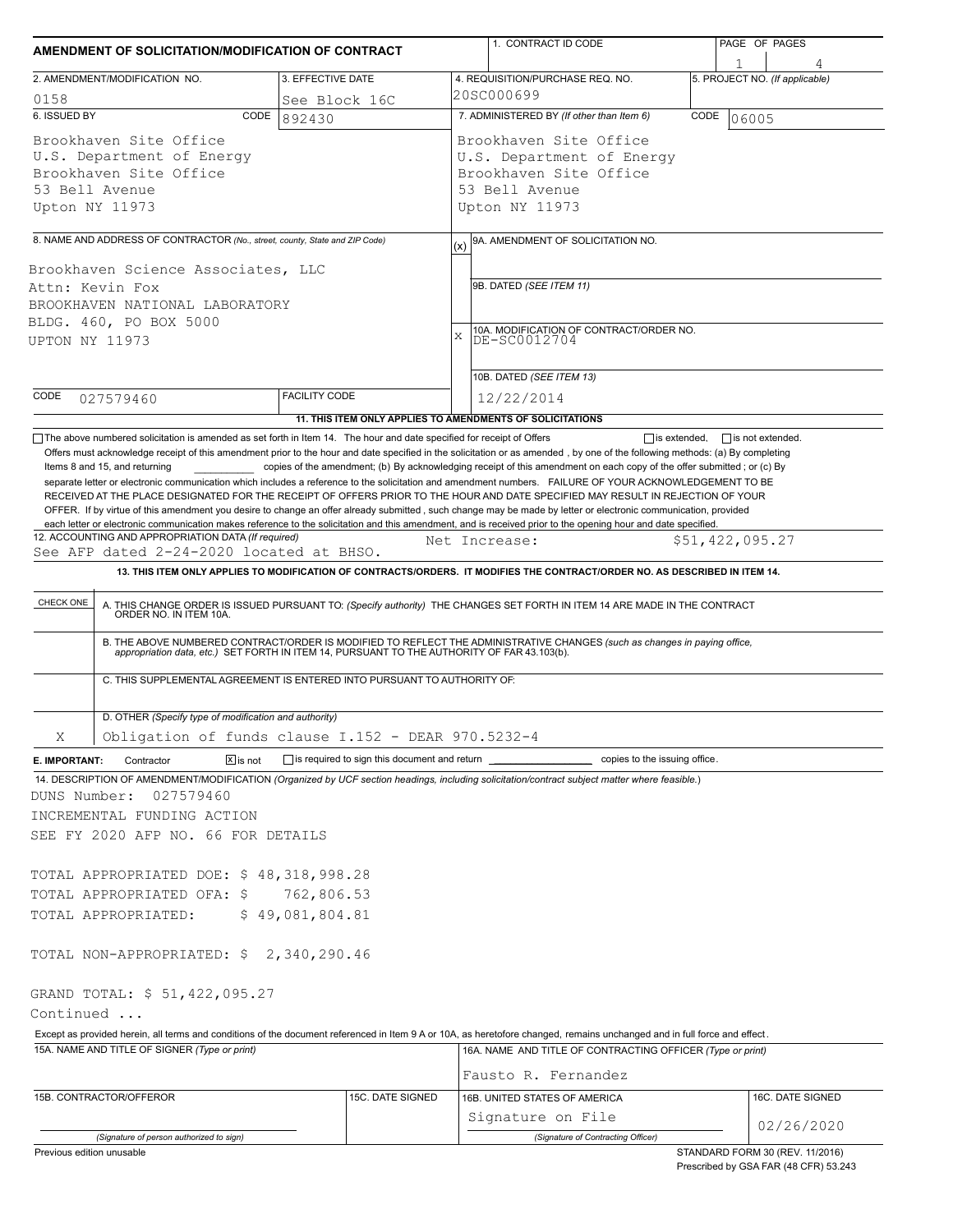| AMENDMENT OF SOLICITATION/MODIFICATION OF CONTRACT                                                                                                                                                                                                                                                                                                                                                                                                                        |                                                     |          | 1. CONTRACT ID CODE                                                                                                                                                                                                                                                       |      | PAGE OF PAGES                       |
|---------------------------------------------------------------------------------------------------------------------------------------------------------------------------------------------------------------------------------------------------------------------------------------------------------------------------------------------------------------------------------------------------------------------------------------------------------------------------|-----------------------------------------------------|----------|---------------------------------------------------------------------------------------------------------------------------------------------------------------------------------------------------------------------------------------------------------------------------|------|-------------------------------------|
| 2. AMENDMENT/MODIFICATION NO.                                                                                                                                                                                                                                                                                                                                                                                                                                             | 3. EFFECTIVE DATE                                   |          | 4. REQUISITION/PURCHASE REQ. NO.                                                                                                                                                                                                                                          |      | 1<br>5. PROJECT NO. (If applicable) |
| 0158                                                                                                                                                                                                                                                                                                                                                                                                                                                                      | See Block 16C                                       |          | 20SC000699                                                                                                                                                                                                                                                                |      |                                     |
| 6. ISSUED BY<br>CODE                                                                                                                                                                                                                                                                                                                                                                                                                                                      | 892430                                              |          | 7. ADMINISTERED BY (If other than Item 6)                                                                                                                                                                                                                                 | CODE | 106005                              |
| Brookhaven Site Office<br>U.S. Department of Energy<br>Brookhaven Site Office<br>53 Bell Avenue<br>Upton NY 11973                                                                                                                                                                                                                                                                                                                                                         |                                                     |          | Brookhaven Site Office<br>U.S. Department of Energy<br>Brookhaven Site Office<br>53 Bell Avenue<br>Upton NY 11973                                                                                                                                                         |      |                                     |
|                                                                                                                                                                                                                                                                                                                                                                                                                                                                           |                                                     |          |                                                                                                                                                                                                                                                                           |      |                                     |
| 8. NAME AND ADDRESS OF CONTRACTOR (No., street, county, State and ZIP Code)<br>Brookhaven Science Associates, LLC<br>Attn: Kevin Fox<br>BROOKHAVEN NATIONAL LABORATORY<br>BLDG. 460, PO BOX 5000<br>UPTON NY 11973                                                                                                                                                                                                                                                        |                                                     | (x)<br>X | 9A. AMENDMENT OF SOLICITATION NO.<br>9B. DATED (SEE ITEM 11)<br>10A. MODIFICATION OF CONTRACT/ORDER NO.<br>DE-SC0012704<br>10B. DATED (SEE ITEM 13)                                                                                                                       |      |                                     |
| CODE<br>027579460                                                                                                                                                                                                                                                                                                                                                                                                                                                         | <b>FACILITY CODE</b>                                |          | 12/22/2014                                                                                                                                                                                                                                                                |      |                                     |
|                                                                                                                                                                                                                                                                                                                                                                                                                                                                           |                                                     |          | 11. THIS ITEM ONLY APPLIES TO AMENDMENTS OF SOLICITATIONS                                                                                                                                                                                                                 |      |                                     |
| OFFER. If by virtue of this amendment you desire to change an offer already submitted, such change may be made by letter or electronic communication, provided<br>each letter or electronic communication makes reference to the solicitation and this amendment, and is received prior to the opening hour and date specified.<br>12. ACCOUNTING AND APPROPRIATION DATA (If required)<br>See AFP dated 2-24-2020 located at BHSO.<br>CHECK ONE<br>ORDER NO. IN ITEM 10A. |                                                     |          | Net Increase:<br>13. THIS ITEM ONLY APPLIES TO MODIFICATION OF CONTRACTS/ORDERS. IT MODIFIES THE CONTRACT/ORDER NO. AS DESCRIBED IN ITEM 14.<br>A. THIS CHANGE ORDER IS ISSUED PURSUANT TO: (Specify authority) THE CHANGES SET FORTH IN ITEM 14 ARE MADE IN THE CONTRACT |      | \$51,422,095.27                     |
| C. THIS SUPPLEMENTAL AGREEMENT IS ENTERED INTO PURSUANT TO AUTHORITY OF:                                                                                                                                                                                                                                                                                                                                                                                                  |                                                     |          | B. THE ABOVE NUMBERED CONTRACT/ORDER IS MODIFIED TO REFLECT THE ADMINISTRATIVE CHANGES (such as changes in paying office, appropriation data, etc.) SET FORTH IN ITEM 14, PURSUANT TO THE AUTHORITY OF FAR 43.103(b).                                                     |      |                                     |
| D. OTHER (Specify type of modification and authority)                                                                                                                                                                                                                                                                                                                                                                                                                     |                                                     |          |                                                                                                                                                                                                                                                                           |      |                                     |
| Obligation of funds clause I.152 - DEAR 970.5232-4<br>X                                                                                                                                                                                                                                                                                                                                                                                                                   |                                                     |          |                                                                                                                                                                                                                                                                           |      |                                     |
| $\boxed{\mathsf{x}}$ is not<br>E. IMPORTANT:<br>Contractor<br>14. DESCRIPTION OF AMENDMENT/MODIFICATION (Organized by UCF section headings, including solicitation/contract subject matter where feasible.)<br>027579460<br>DUNS Number:<br>INCREMENTAL FUNDING ACTION<br>SEE FY 2020 AFP NO. 66 FOR DETAILS                                                                                                                                                              | is required to sign this document and return ______ |          | copies to the issuing office.                                                                                                                                                                                                                                             |      |                                     |
| TOTAL APPROPRIATED DOE: \$48,318,998.28                                                                                                                                                                                                                                                                                                                                                                                                                                   |                                                     |          |                                                                                                                                                                                                                                                                           |      |                                     |
| TOTAL APPROPRIATED OFA: \$                                                                                                                                                                                                                                                                                                                                                                                                                                                | 762,806.53                                          |          |                                                                                                                                                                                                                                                                           |      |                                     |
| TOTAL APPROPRIATED:                                                                                                                                                                                                                                                                                                                                                                                                                                                       | \$49,081,804.81                                     |          |                                                                                                                                                                                                                                                                           |      |                                     |
| TOTAL NON-APPROPRIATED: \$2,340,290.46<br>GRAND TOTAL: \$ 51,422,095.27                                                                                                                                                                                                                                                                                                                                                                                                   |                                                     |          |                                                                                                                                                                                                                                                                           |      |                                     |
| Continued                                                                                                                                                                                                                                                                                                                                                                                                                                                                 |                                                     |          |                                                                                                                                                                                                                                                                           |      |                                     |
| Except as provided herein, all terms and conditions of the document referenced in Item 9 A or 10A, as heretofore changed, remains unchanged and in full force and effect.<br>15A. NAME AND TITLE OF SIGNER (Type or print)                                                                                                                                                                                                                                                |                                                     |          | 16A. NAME AND TITLE OF CONTRACTING OFFICER (Type or print)<br>Fausto R. Fernandez                                                                                                                                                                                         |      |                                     |
| 15B. CONTRACTOR/OFFEROR                                                                                                                                                                                                                                                                                                                                                                                                                                                   | 15C. DATE SIGNED                                    |          | 16B. UNITED STATES OF AMERICA                                                                                                                                                                                                                                             |      | 16C. DATE SIGNED                    |
|                                                                                                                                                                                                                                                                                                                                                                                                                                                                           |                                                     |          | Signature on File                                                                                                                                                                                                                                                         |      |                                     |
| (Signature of person authorized to sign)                                                                                                                                                                                                                                                                                                                                                                                                                                  |                                                     |          | (Signature of Contracting Officer)                                                                                                                                                                                                                                        |      | 02/26/2020                          |
| Previous edition unusable                                                                                                                                                                                                                                                                                                                                                                                                                                                 |                                                     |          |                                                                                                                                                                                                                                                                           |      | STANDARD FORM 30 (REV. 11/2016)     |

Prescribed by GSA FAR (48 CFR) 53.243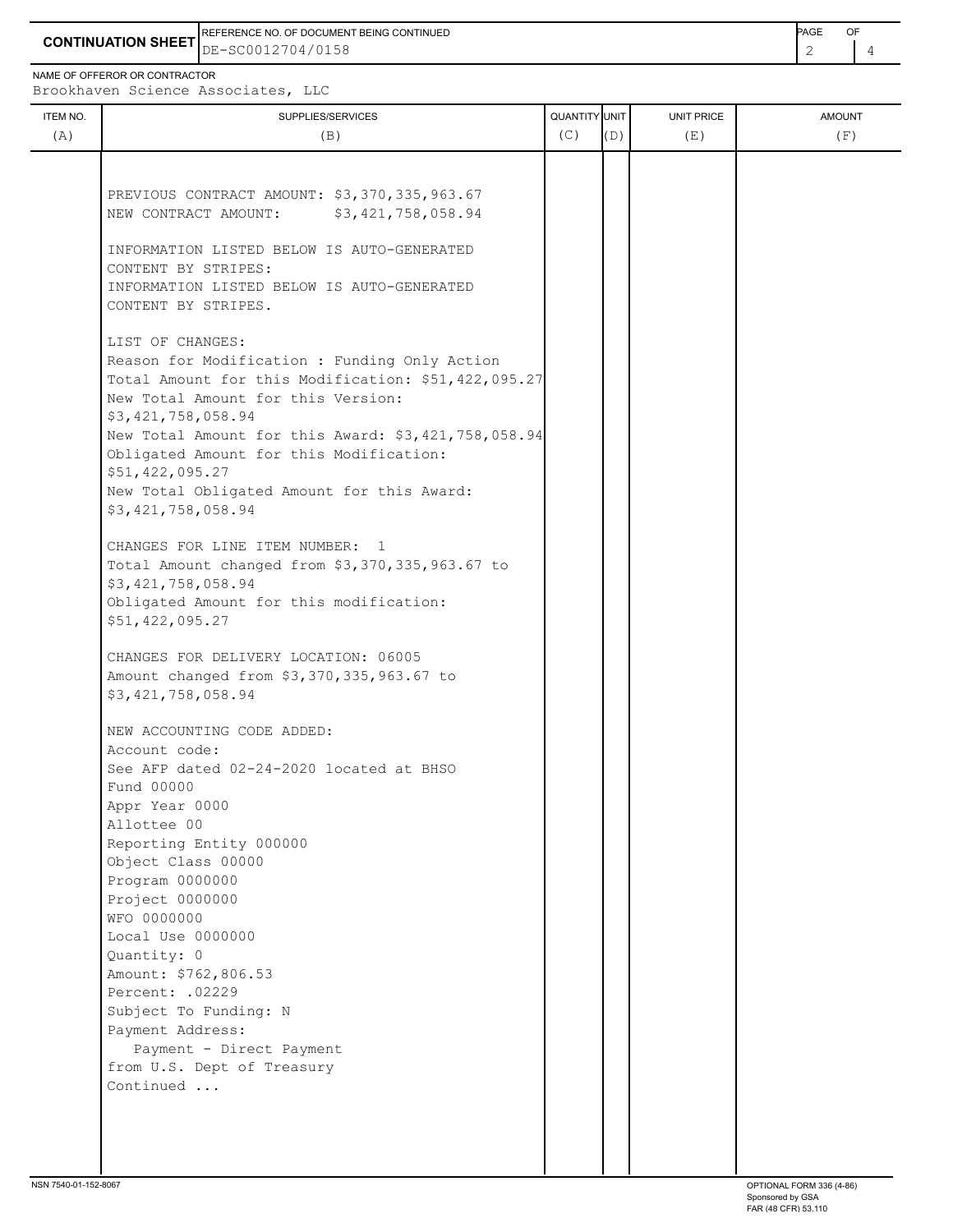**CONTINUATION SHEET** DE-SC0012704/0158 2 4 REFERENCE NO. OF DOCUMENT BEING CONTINUED **Example 2008** PAGE OF

NAME OF OFFEROR OR CONTRACTOR

Brookhaven Science Associates, LLC

| ITEM NO.<br>(A) | SUPPLIES/SERVICES<br>(B)                                                                             | QUANTITY UNIT<br>(C) | (D) | UNIT PRICE<br>(E) | <b>AMOUNT</b><br>(F) |
|-----------------|------------------------------------------------------------------------------------------------------|----------------------|-----|-------------------|----------------------|
|                 |                                                                                                      |                      |     |                   |                      |
|                 | PREVIOUS CONTRACT AMOUNT: \$3,370,335,963.67<br>\$3,421,758,058.94<br>NEW CONTRACT AMOUNT:           |                      |     |                   |                      |
|                 | INFORMATION LISTED BELOW IS AUTO-GENERATED<br>CONTENT BY STRIPES:                                    |                      |     |                   |                      |
|                 | INFORMATION LISTED BELOW IS AUTO-GENERATED<br>CONTENT BY STRIPES.                                    |                      |     |                   |                      |
|                 | LIST OF CHANGES:                                                                                     |                      |     |                   |                      |
|                 | Reason for Modification : Funding Only Action<br>Total Amount for this Modification: \$51,422,095.27 |                      |     |                   |                      |
|                 | New Total Amount for this Version:                                                                   |                      |     |                   |                      |
|                 | \$3,421,758,058.94                                                                                   |                      |     |                   |                      |
|                 | New Total Amount for this Award: \$3,421,758,058.94<br>Obligated Amount for this Modification:       |                      |     |                   |                      |
|                 | \$51,422,095.27                                                                                      |                      |     |                   |                      |
|                 | New Total Obligated Amount for this Award:                                                           |                      |     |                   |                      |
|                 | \$3,421,758,058.94                                                                                   |                      |     |                   |                      |
|                 | CHANGES FOR LINE ITEM NUMBER: 1                                                                      |                      |     |                   |                      |
|                 | Total Amount changed from \$3,370,335,963.67 to                                                      |                      |     |                   |                      |
|                 | \$3,421,758,058.94                                                                                   |                      |     |                   |                      |
|                 | Obligated Amount for this modification:<br>\$51,422,095.27                                           |                      |     |                   |                      |
|                 | CHANGES FOR DELIVERY LOCATION: 06005                                                                 |                      |     |                   |                      |
|                 | Amount changed from \$3,370,335,963.67 to                                                            |                      |     |                   |                      |
|                 | \$3,421,758,058.94                                                                                   |                      |     |                   |                      |
|                 | NEW ACCOUNTING CODE ADDED:                                                                           |                      |     |                   |                      |
|                 | Account code:                                                                                        |                      |     |                   |                      |
|                 | See AFP dated 02-24-2020 located at BHSO<br>Fund 00000                                               |                      |     |                   |                      |
|                 | Appr Year 0000                                                                                       |                      |     |                   |                      |
|                 | Allottee 00                                                                                          |                      |     |                   |                      |
|                 | Reporting Entity 000000                                                                              |                      |     |                   |                      |
|                 | Object Class 00000                                                                                   |                      |     |                   |                      |
|                 | Program 0000000                                                                                      |                      |     |                   |                      |
|                 | Project 0000000                                                                                      |                      |     |                   |                      |
|                 | WFO 0000000                                                                                          |                      |     |                   |                      |
|                 | Local Use 0000000<br>Quantity: 0                                                                     |                      |     |                   |                      |
|                 | Amount: \$762,806.53                                                                                 |                      |     |                   |                      |
|                 | Percent: . 02229                                                                                     |                      |     |                   |                      |
|                 | Subject To Funding: N                                                                                |                      |     |                   |                      |
|                 | Payment Address:                                                                                     |                      |     |                   |                      |
|                 | Payment - Direct Payment                                                                             |                      |     |                   |                      |
|                 | from U.S. Dept of Treasury                                                                           |                      |     |                   |                      |
|                 | Continued                                                                                            |                      |     |                   |                      |
|                 |                                                                                                      |                      |     |                   |                      |
|                 |                                                                                                      |                      |     |                   |                      |
|                 |                                                                                                      |                      |     |                   |                      |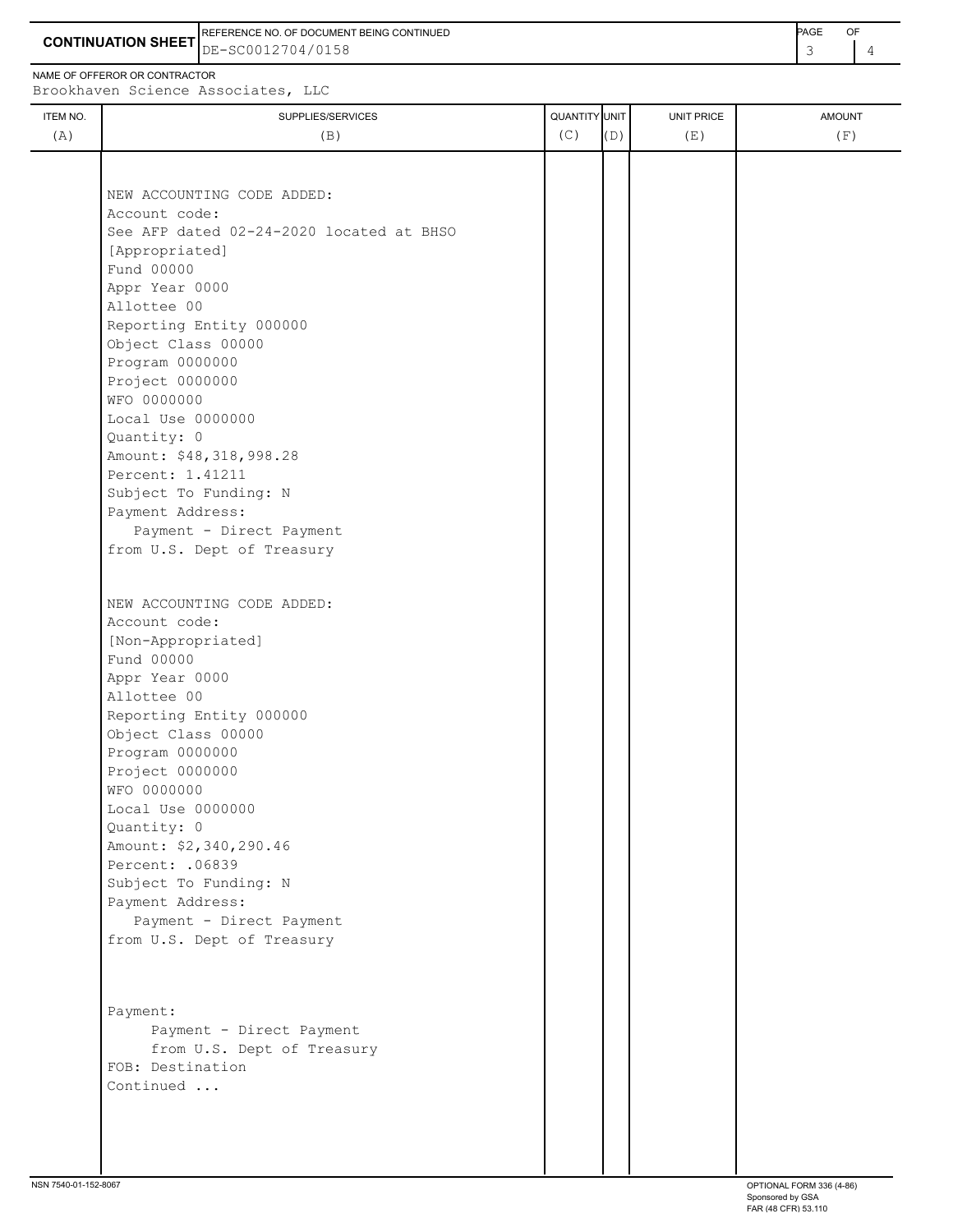**CONTINUATION SHEET** DE-SC0012704/0158 **And CONTINUATION SHEET**  $\begin{bmatrix} 3 & 4 \end{bmatrix}$ REFERENCE NO. OF DOCUMENT BEING CONTINUED **Example 2008** PAGE OF

NAME OF OFFEROR OR CONTRACTOR

Brookhaven Science Associates, LLC

| ITEM NO. | SUPPLIES/SERVICES                        | QUANTITY UNIT |     | UNIT PRICE | <b>AMOUNT</b> |
|----------|------------------------------------------|---------------|-----|------------|---------------|
| (A)      | (B)                                      | (C)           | (D) | (E)        | (F)           |
|          |                                          |               |     |            |               |
|          |                                          |               |     |            |               |
|          | NEW ACCOUNTING CODE ADDED:               |               |     |            |               |
|          | Account code:                            |               |     |            |               |
|          | See AFP dated 02-24-2020 located at BHSO |               |     |            |               |
|          | [Appropriated]                           |               |     |            |               |
|          | Fund 00000                               |               |     |            |               |
|          | Appr Year 0000                           |               |     |            |               |
|          | Allottee 00                              |               |     |            |               |
|          | Reporting Entity 000000                  |               |     |            |               |
|          | Object Class 00000                       |               |     |            |               |
|          | Program 0000000                          |               |     |            |               |
|          | Project 0000000                          |               |     |            |               |
|          | WFO 0000000                              |               |     |            |               |
|          | Local Use 0000000                        |               |     |            |               |
|          | Quantity: 0                              |               |     |            |               |
|          | Amount: \$48,318,998.28                  |               |     |            |               |
|          | Percent: 1.41211                         |               |     |            |               |
|          | Subject To Funding: N                    |               |     |            |               |
|          | Payment Address:                         |               |     |            |               |
|          | Payment - Direct Payment                 |               |     |            |               |
|          | from U.S. Dept of Treasury               |               |     |            |               |
|          |                                          |               |     |            |               |
|          |                                          |               |     |            |               |
|          | NEW ACCOUNTING CODE ADDED:               |               |     |            |               |
|          | Account code:                            |               |     |            |               |
|          | [Non-Appropriated]                       |               |     |            |               |
|          | Fund 00000                               |               |     |            |               |
|          | Appr Year 0000                           |               |     |            |               |
|          | Allottee 00                              |               |     |            |               |
|          | Reporting Entity 000000                  |               |     |            |               |
|          | Object Class 00000                       |               |     |            |               |
|          | Program 0000000                          |               |     |            |               |
|          | Project 0000000                          |               |     |            |               |
|          | WFO 0000000                              |               |     |            |               |
|          | Local Use 0000000                        |               |     |            |               |
|          | Quantity: 0                              |               |     |            |               |
|          | Amount: \$2,340,290.46                   |               |     |            |               |
|          | Percent: . 06839                         |               |     |            |               |
|          | Subject To Funding: N                    |               |     |            |               |
|          | Payment Address:                         |               |     |            |               |
|          | Payment - Direct Payment                 |               |     |            |               |
|          | from U.S. Dept of Treasury               |               |     |            |               |
|          |                                          |               |     |            |               |
|          |                                          |               |     |            |               |
|          |                                          |               |     |            |               |
|          | Payment:                                 |               |     |            |               |
|          | Payment - Direct Payment                 |               |     |            |               |
|          | from U.S. Dept of Treasury               |               |     |            |               |
|          | FOB: Destination                         |               |     |            |               |
|          | Continued                                |               |     |            |               |
|          |                                          |               |     |            |               |
|          |                                          |               |     |            |               |
|          |                                          |               |     |            |               |
|          |                                          |               |     |            |               |
|          |                                          |               |     |            |               |